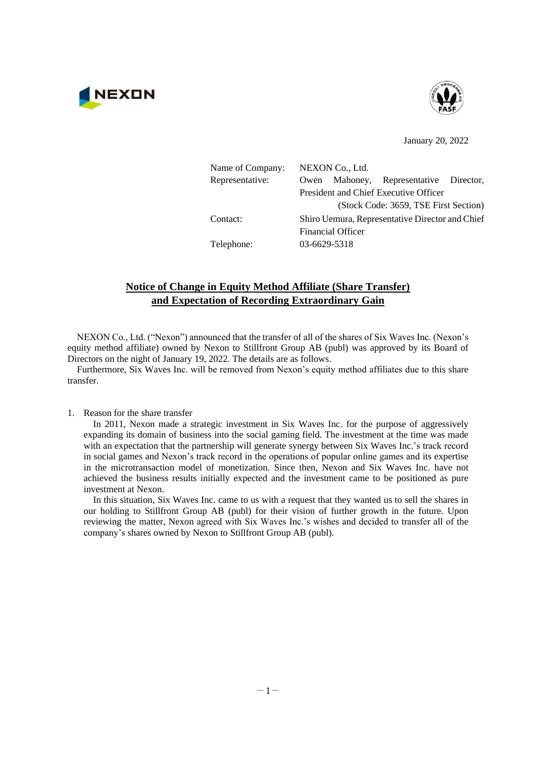



January 20, 2022

| Name of Company: | NEXON Co., Ltd. |                          |                                                 |  |
|------------------|-----------------|--------------------------|-------------------------------------------------|--|
| Representative:  | Owen            |                          | Mahoney, Representative Director,               |  |
|                  |                 |                          | President and Chief Executive Officer           |  |
|                  |                 |                          | (Stock Code: 3659, TSE First Section)           |  |
| Contact:         |                 |                          | Shiro Uemura, Representative Director and Chief |  |
|                  |                 | <b>Financial Officer</b> |                                                 |  |
| Telephone:       | 03-6629-5318    |                          |                                                 |  |
|                  |                 |                          |                                                 |  |

## **Notice of Change in Equity Method Affiliate (Share Transfer) and Expectation of Recording Extraordinary Gain**

NEXON Co., Ltd. ("Nexon") announced that the transfer of all of the shares of Six Waves Inc. (Nexon's equity method affiliate) owned by Nexon to Stillfront Group AB (publ) was approved by its Board of Directors on the night of January 19, 2022. The details are as follows.

Furthermore, Six Waves Inc. will be removed from Nexon's equity method affiliates due to this share transfer.

1. Reason for the share transfer

 In 2011, Nexon made a strategic investment in Six Waves Inc. for the purpose of aggressively expanding its domain of business into the social gaming field. The investment at the time was made with an expectation that the partnership will generate synergy between Six Waves Inc.'s track record in social games and Nexon's track record in the operations of popular online games and its expertise in the microtransaction model of monetization. Since then, Nexon and Six Waves Inc. have not achieved the business results initially expected and the investment came to be positioned as pure investment at Nexon.

 In this situation, Six Waves Inc. came to us with a request that they wanted us to sell the shares in our holding to Stillfront Group AB (publ) for their vision of further growth in the future. Upon reviewing the matter, Nexon agreed with Six Waves Inc.'s wishes and decided to transfer all of the company's shares owned by Nexon to Stillfront Group AB (publ).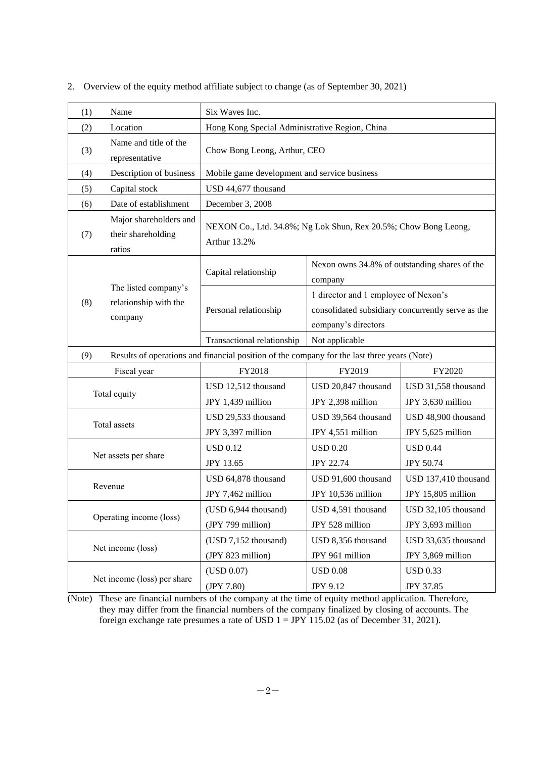| (1)                                                             | Name                                                                                        | Six Waves Inc.                                                                                                   |                                           |                                            |  |
|-----------------------------------------------------------------|---------------------------------------------------------------------------------------------|------------------------------------------------------------------------------------------------------------------|-------------------------------------------|--------------------------------------------|--|
| (2)                                                             | Location                                                                                    | Hong Kong Special Administrative Region, China                                                                   |                                           |                                            |  |
| (3)                                                             | Name and title of the<br>representative                                                     | Chow Bong Leong, Arthur, CEO                                                                                     |                                           |                                            |  |
| (4)                                                             | Description of business                                                                     | Mobile game development and service business                                                                     |                                           |                                            |  |
| (5)                                                             | Capital stock                                                                               | USD 44,677 thousand                                                                                              |                                           |                                            |  |
| (6)                                                             | Date of establishment                                                                       | December 3, 2008                                                                                                 |                                           |                                            |  |
| (7)                                                             | Major shareholders and<br>their shareholding<br>ratios                                      | NEXON Co., Ltd. 34.8%; Ng Lok Shun, Rex 20.5%; Chow Bong Leong,<br>Arthur 13.2%                                  |                                           |                                            |  |
| The listed company's<br>(8)<br>relationship with the<br>company | Capital relationship                                                                        | Nexon owns 34.8% of outstanding shares of the<br>company                                                         |                                           |                                            |  |
|                                                                 | Personal relationship                                                                       | 1 director and 1 employee of Nexon's<br>consolidated subsidiary concurrently serve as the<br>company's directors |                                           |                                            |  |
|                                                                 |                                                                                             | Transactional relationship                                                                                       | Not applicable                            |                                            |  |
| (9)                                                             | Results of operations and financial position of the company for the last three years (Note) |                                                                                                                  |                                           |                                            |  |
|                                                                 | Fiscal year                                                                                 | FY2018                                                                                                           | FY2019                                    | FY2020                                     |  |
|                                                                 | Total equity                                                                                | USD 12,512 thousand<br>JPY 1,439 million                                                                         | USD 20,847 thousand<br>JPY 2,398 million  | USD 31,558 thousand<br>JPY 3,630 million   |  |
|                                                                 | Total assets                                                                                | USD 29,533 thousand<br>JPY 3,397 million                                                                         | USD 39,564 thousand<br>JPY 4,551 million  | USD 48,900 thousand<br>JPY 5,625 million   |  |
|                                                                 | Net assets per share                                                                        | <b>USD 0.12</b><br><b>JPY 13.65</b>                                                                              | <b>USD 0.20</b><br><b>JPY 22.74</b>       | <b>USD 0.44</b><br><b>JPY 50.74</b>        |  |
|                                                                 | Revenue                                                                                     | USD 64,878 thousand<br>JPY 7,462 million                                                                         | USD 91,600 thousand<br>JPY 10,536 million | USD 137,410 thousand<br>JPY 15,805 million |  |
|                                                                 | Operating income (loss)                                                                     | (USD 6,944 thousand)<br>(JPY 799 million)                                                                        | USD 4,591 thousand<br>JPY 528 million     | USD 32,105 thousand<br>JPY 3,693 million   |  |
|                                                                 | Net income (loss)                                                                           | (USD 7,152 thousand)<br>(JPY 823 million)                                                                        | USD 8,356 thousand<br>JPY 961 million     | USD 33,635 thousand<br>JPY 3,869 million   |  |
|                                                                 | Net income (loss) per share                                                                 | (USD 0.07)<br>(JPY 7.80)                                                                                         | <b>USD 0.08</b><br>JPY 9.12               | <b>USD 0.33</b><br>JPY 37.85               |  |

2. Overview of the equity method affiliate subject to change (as of September 30, 2021)

(Note) These are financial numbers of the company at the time of equity method application. Therefore, they may differ from the financial numbers of the company finalized by closing of accounts. The foreign exchange rate presumes a rate of USD  $1 = JPY$  115.02 (as of December 31, 2021).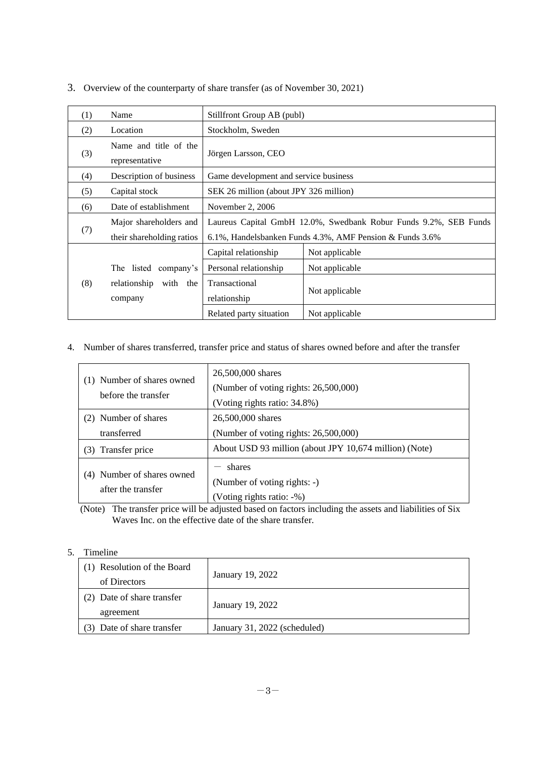| (1) | Name                                                | Stillfront Group AB (publ)                                                                                                   |                |  |
|-----|-----------------------------------------------------|------------------------------------------------------------------------------------------------------------------------------|----------------|--|
| (2) | Location                                            | Stockholm, Sweden                                                                                                            |                |  |
| (3) | Name and title of the<br>representative             | Jörgen Larsson, CEO                                                                                                          |                |  |
| (4) | Description of business                             | Game development and service business                                                                                        |                |  |
| (5) | Capital stock                                       | SEK 26 million (about JPY 326 million)                                                                                       |                |  |
| (6) | Date of establishment                               | November 2, 2006                                                                                                             |                |  |
| (7) | Major shareholders and<br>their shareholding ratios | Laureus Capital GmbH 12.0%, Swedbank Robur Funds 9.2%, SEB Funds<br>6.1%, Handelsbanken Funds 4.3%, AMF Pension & Funds 3.6% |                |  |
|     |                                                     | Capital relationship                                                                                                         | Not applicable |  |
|     | The listed company's                                | Personal relationship                                                                                                        | Not applicable |  |
| (8) | relationship<br>with the<br>company                 | Transactional<br>relationship                                                                                                | Not applicable |  |
|     |                                                     | Related party situation                                                                                                      | Not applicable |  |

3. Overview of the counterparty of share transfer (as of November 30, 2021)

4. Number of shares transferred, transfer price and status of shares owned before and after the transfer

| (1) Number of shares owned<br>before the transfer | 26,500,000 shares<br>(Number of voting rights: $26,500,000$ )<br>(Voting rights ratio: 34.8%) |
|---------------------------------------------------|-----------------------------------------------------------------------------------------------|
| (2) Number of shares                              | 26,500,000 shares                                                                             |
| transferred                                       | (Number of voting rights: 26,500,000)                                                         |
| Transfer price<br>(3)                             | About USD 93 million (about JPY 10,674 million) (Note)                                        |
| Number of shares owned                            | shares                                                                                        |
| (4)                                               | (Number of voting rights: -)                                                                  |
| after the transfer                                | (Voting rights ratio: -%)                                                                     |

(Note) The transfer price will be adjusted based on factors including the assets and liabilities of Six Waves Inc. on the effective date of the share transfer.

## 5. Timeline

| (1) Resolution of the Board<br>of Directors | January 19, 2022             |
|---------------------------------------------|------------------------------|
| (2) Date of share transfer<br>agreement     | January 19, 2022             |
| Date of share transfer                      | January 31, 2022 (scheduled) |